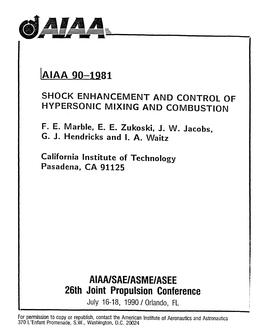

# IAIAA 90-1981

### SHOCK ENHANCEMENT AND CONTROL OF HYPERSONIC MIXING AND COMBUSTION

F. E. Marble, E. E. Zukoski, J. W. Jacobs, G. J. Hendricks and I. A. Waitz

California Institute of Technology Pasadena, CA 91125

## AIAA/SAE/ASME/ASEE 26th Joint Propulsion Conference

July 16-18, 1990 / Orlando, FL

For permission to copy or republish, contact the American Institute of Aeronautics and Astronautics 370 L'Enfant Promenade, S.W., Washington, D.C. 20024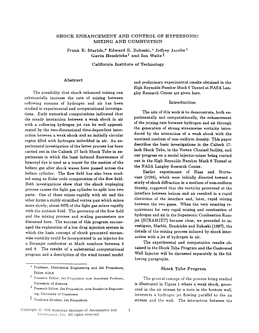#### SHOCK ENHANCEMENT AND CONTROL OF HYPERSONIC MIXING AND COMBUSTION

Frank E. Marble,\* Edward E. Zukoski,\* Jeffrey Jacobs<sup>†</sup> Gavin Hendricks<sup> $\ddagger$ </sup> and Ian Waitz<sup>§</sup>

California Institute of Technology

#### Abstract

The possibility that shock enhanced mixing can substantially increase the rate of mixing between coflowing streams of hydrogen and air has been studied in experimental and computational investigations. Early numerical computations indicated that the steady interaction between a weak shock in air with a coflowing hydrogen jet can be well approximated by the two-dimensional time-dependent interaction between a weak shock and an initially circular region filled with hydrogen imbedded in air. An experimental investigation of the latter process has been carried out in the Caltech 17 Inch Shock Tube in experiments in which the laser induced fluorescence of byacetyl dye is used as a tracer for the motion of the helium gas after shock waves have passed across the helium cylinder. The flow field has also been studied using an Euler code computation of the flow field. Both investigations show that the shock impinging process causes the light gas cylinder to split into two parts. One of these mixes rapidly with air and the other forms a stably stratified vortex pair which mixes more slowly; about 60% of the light gas mixes rapidly with the ambient fluid. The geometry of the flow field and the mixing process and scaling parameters are discussed here. The success of this program encouraged the exploration of a low drag injection system in which the basic concept of shock generated streamwise vorticity could be incorporated in an injector for a Scramjet combustor at Mach numbers between 5 and 8. The results of a substantial computational program and a description of the wind tunnel model

and preliminary experimental results obtained in the High Reynolds Number Mach 6 Tunnel at NASA Langley Research Center are given here.

#### Introduction

The aim of this work is to demonstrate, both experimentally and computationally, the enhancement of the mixing rate between hydrogen and air through the generation of strong streamwise vorticity introduced by the interaction of a weak shock with the unmixed medium of non-uniform density. This paper describes the basic investigations in the Caltech 17 inch Shock Tube, in the Vortex Channel facility, and our progress on a model injector-mixer being carried out in the High Reynolds Number Mach 6 Tunnel at the NASA Langley Research Center.

Earlier experiments of Haas and Sturtevant (1988), which were initially directed toward a study of shock diffraction in a medium of non-uniform density, suggested that the vorticity generated at the interface between helium and air resulted in a rapid distortion of the interface and, later, rapid mixing between the two gases. When the very exacting requirement for very rapid mixing and combustion of hydrogen and air in the Supersonic Combustion Ramjet (SCRAMJET) became clear, we proceded to investigate, Marble, Hendricks and Zukoski (1987), the details of the mixing process induced by shock interaction with a jet of hydrogen in air.

The experimental and computation results obtained in the Shock Tube Program and the Contoured Wall Injector will be discussed separately in the following paragraphs.

#### Shock Tube Program

The general concept of the process being studied is illustrated in Figure 1 where a weak shock, generated in the air stream by a turn in the bottom wall intersects a hydrogen jet flowing parallel to the air stream and the wall. The interaction between the

<sup>•</sup> Professor, Mechanical Engineering and Jet Propulsion, Fellow AIAA

Research Fellow, Jet Propulsion now Assistant Profesor, University of Arizona

<sup>&</sup>lt;sup>‡</sup> Research Fellow, Jet Propulsion, now Reader in Engineering, University of Capetown

 $\S$  Graduate Student, Jet Propulsion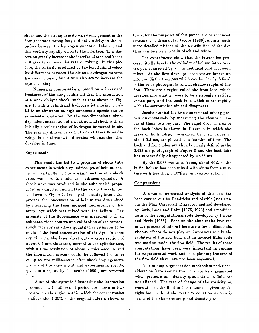shock and the strong density variations present in the flow generates strong longitudinal vorticity in the interface between the hydrogen stream and the air, and this vorticity rapidly distorts the interface. This distortion greatly increases the interfacial area and hence will greatly increase the rate of mixing. In this picture, the vorticity produced by the longitudinal velocity differences between the air and hydrogen streams has been ignored, but it will also act to increase the rate of mixing.

Numerical computations, based on a linearized treatment of the flow, confirmed that the interaction of a weak oblique shock, such as that shown in Figure 1, with a cylindrical hydrogen jet moving parallel to an airstream at high supersonic speeds can be represented quite well· by the two-dimensional time- . dependent interaction of a weak normal shock with an initially circular region of hydrogen immersed in air. The primary difference is that one of these flows develops in the streamwise direction whereas the other develops in time.

#### Experiments

This result has led to a program of shock tube experiments in which a cylindrical jet of helium, convecting vertically in the working section of a shock tube, was used to model the hydrogen cylinder. A shock wave was produced in the tube which propagated in a direction normal to the axis of the cylinder, as shown in Figure 2. During the ensuing interaction process, the concentration of helium was determined by measuring the laser induced fluorescence of byacetyl dye which was mixed with the helium. The intensity of the fluorescence was measured with an enhanced video camera and calibration of the camerashock tube system allows quantitative estimates to be made of the local concentration of the dye. In these experiments, the laser sheet cuts a cross section of about 0.5 mm thickness, normal to the cylinder axis, with a time resolution of about 2 microseconds and the interaction process could be followed for times of up to two milliseconds after shock impingement. Details of the experiment and experimental results, given in a report by J. Jacobs (1990), are reviewed here.

A set of photographs illustrating the interaction process for a 1 millisecond period are shown in Figure 3 where the region within which the concentration is above about  $20\%$  of the original value is shown in black, for the purposes of this paper. Color enhanced treatment of these data, Jacobs (1989), gives a much more detailed picture of the distribution of the dye than can be given here in black and white.

The experiments show that the interaction process initially breaks the cylinder of helium into a vortex pair connected by a thin umbilical cord that soon mixes. As the flow develops, each vortex breaks up into two distinct regions which can be clearly defined in the color photographs and in shadowgraphs of the flow. These are a region called the front lobe, which develops into what appears to be a strongly stratified vortex pair, and the back lobe which mixes rapidly with the surrounding air and disappears.

Jacobs studied the two-dimensional mixing process quantitatively by measuring the change in areas of these two regions. The rapid drop in area of the back lobes is shown in Figure 4 in which the areas of both lobes, normalized by their values at about 0.5 ms, are plotted as a function of time. The back and front lobes are already clearly defined in the 0,488 ms photograph of Figure 3 and the back lobe has substantially disappeared by 0.988 ms.

By the 0.988 ms time frame, about 60% of the initial helium has been mixed with air to form a mixture with less than a 10% helium concentration.

#### Computations

A detailed numerical analysis of this flow has been carried out by Hendricks and Marble (1990) using the Flux Corrected Transport method developed by Boris, Book and Haim (1975, 1976) and a modified form of the computational code developed by Picone and Boris (1988). Because the time scales involved in the process of interest here are a few milliseconds, viscous effects do not play an important role in the evolution of the flow field and an inviscid Euler code was used to model the flow field. The results of these computations have been very important in guiding the experimental work and in explaining features of the flow field that have not been measured.

The mixing augmentation mechanism under consideration here results from the vorticity generated when pressure and density gradients in a fluid are not aligned. The rate of change of the vorticity,  $\omega$ , generated in the fluid in this manner is given by the right hand side of the vorticity equation written in terms of the the pressure p and density  $\rho$  as: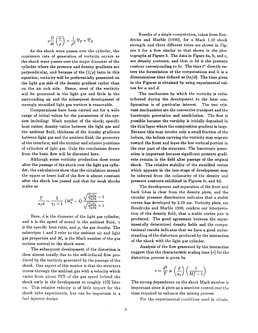$$
\rho \frac{D}{dt} \left( \frac{\overline{\omega}}{\rho} \right) = \frac{1}{\rho^2} \, \overline{\nabla} p \times \overline{\nabla} \rho
$$

As the shock wave passes over the cylinder, the maximum rate of generation of vorticity occurs as the shock wave passes over the major diameter of the cylinder where the pressure and density gradients are perpendicular, and because of the  $(1/\rho)$  term in this equation, vorticity will be preferentially generated on the light gas side of the density gradient rather than on the air rich side. Hence, most of the vorticity will be generated in the light gas and little in the surrounding air and the subsequent development of strongly stratified light gas vortices is reasonable.

Computations have been carried out for a wide range of initial values for the parameters of the system including: Mach number of the shock; specific heat ratios; density ratios between the light gas and the ambient fluid; thickness of the density gradients between light gas and the ambient fluid; the geometry of the interface; and the number and relative positions of cylinders of light gas. Only the conclusions drawn from the basic flow will be discussed here.

Although some vorticity production does occur after the passage of the shock over the light gas cylinder, the calculations show that the circulation around the upper or lower half of the flow is almost constant after the shock has passed and that for weak shocks scales as

$$
\frac{\Gamma}{a_1d} \sim \frac{2}{\gamma_1+1} \left(M_\bullet^2-1\right) \frac{\sqrt{\frac{\gamma_1 \rho_1}{\gamma_2 \rho_2}}-1}{\sqrt{\frac{\gamma_1 \rho_1}{\gamma_2 \rho_2}}+1}
$$

Here, *d* is the diameter of the light gas cylinder, and a is the speed of sound in the ambient fluid,  $\gamma$ is the specific heat ratio, and  $\rho$ , the gas density. The subscripts 1 and 2 refer to the ambient air and light gas properties and  $M<sub>e</sub>$  is the Mach number of the gas motion normal to the shock wave.

The subsequent development of the distortion is then almost totally due to the self-induced flow produced by the vorticity generated by the passage of the shock. One aspect of this motion is that the structure moves through the ambient gas with a velocity which varies from about 75% of the gas speed behind the shock early in the development to roughly 15% later on. This relative velocity is of little import for the shock tube experiments, but can be important in a fuel injector design.

Results of a single computation, taken from Hendricks and Marble (1990), for a Mach 1.10 shock strength and three different times are shown in Figure 5 for a flow similar to that shown in the photographs of Figure 3. The data in Figure 5a, b, and c, are density contours, and that in 5d is the pressure contour corresponding to 5c. The time  $t^*$  directly enters the formulation of the computations and it is a dimensionless time defined as *(ta/d).* The time given in the Figures is obtained by using experimental values for a and d.

The mechanism by which the vorticity is redistributed during the development to the later configuration is of particular interest. The two relevant mechanisms are the convective transport and the barotropic generation and annihilation. The first is possible because the vorticity is initially deposited in the thin<sup>'</sup>layer where the composition gradient is large. Because this may involve only a small fraction of the helium, the helium carrying the vorticity may migrate toward the front and leave the less vortical portion in the rear part of the structure. The barotropic generation is important because significant pressure gradients remain in the field after passage of the original shock. The relative stability of the stratified vortex which appears in the late stage of development may be inferred from the colinearity of the density and pressure contours exhibited in Figures 5c and 5d.

The development and separation of the front and back lobes is clear from the density plots, and the circular pressure distribution indicates that a stable vortex has developed by 2.19 ms. Vorticity plots, see Hendricks and Marble 1990, confirm our interpretation of the density field, that a stable vortex pair is produced. The good agreement between the experimentally determined density fields and the computational results indicates that we have a good understanding of the distortion produced by the interaction of the shock with the light gas cylinder.

Analysis of the flow generated by the interaction suggest that the characteristic scaling time *(T)* for the distortion process is given by

$$
\tau = \frac{d^2}{\Gamma} \propto \left(\frac{d}{a_1}\right) \left(\frac{1}{M_\bullet^2 - 1}\right)
$$

The strong dependence on the shock Mach number is important since it gives us a sensitive control over the time required to enhance the mixing process.

For the experimental conditions used in obtain-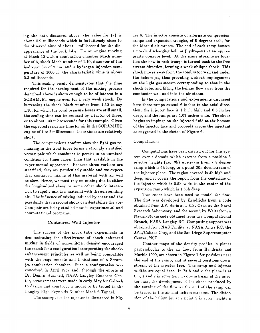ing the data discussed above, the value for  $(\tau)$  is about 0.9 milliseconds which is fortuitously close to the observed time of about 1 millisecond for the disappearance of the back lobe. For an engine moving at Mach 10 with a combustion chamber Mach number of 6, shock Mach number of 1.10, diameter of the hydrogen jet of 2 em, and a hydrogen injection temperature of 1600 K, the characteristic time is about 0.3 milliseconds.

This scaling result demonstrates that the time required for the development of the mixing process described above is short enough to be of interest in a SCRAMJET engine even for a very weak shock. By increasing the shock Mach number from 1.10 to say 1.30, for which the total pressure losses are still small, the scaling time can be reduced by a factor of three, or to about 100 microseconds for this example. Given the expected residence time for air in the SCRAMJET engine of 1 to 2 milliseconds, these times are relatively short.

The computations confirm that the light gas remaining in the front lobes forms a strongly stratified vortex pair which continues to persist in an unmixed condition for times larger than that available in the experimental apparatus. Because these vortices are stratified, they are particularly stable and we expect that continued mixing of this material with air will be slow. Hence, we must rely on mixing due to either the longitudinal shear or some other shock interaction to rapidly mix this material with the surrounding air. The influence of mixing induced by shear and the possibility that a second shock can destabilize the vortices pair are being studied now in experimental and computational programs.

#### Contoured Wall Injector

The success of the shock tube experiments in demonstrating the effectiveness of shock enhanced mixing in fields of non-uniform density encouraged the search for a configuration incorporating the shockenhancement principles as well as being compatible with the requirements and limitations of a Scramjet combustion chamber. Such a configuration was conceived in April 1987 and, through the efforts of Dr. Dennis Bushnell, NASA-Langley Research Center, arrangements were made in early May for Caltech to design and construct a model to be tested in the Langley High Reynolds Number Mach 6 Tunnel.

The concept for the injector is illustrated in Fig-

ure 6. The injector consists of alternate compression ramps and expansion troughs, of 5 degrees each, for the Mach 6 air stream. The end of each ramp houses a nozzle discharging helium (hydrogen) at an appropriate pressure level. At the same streamwise location the flow in each trough is turned back to the free stream direction, forming a weak oblique shock. This shock moves away from the combustor wall and under the helium jet, thus providing a shock impingement on the light gas stream corresponding to that in the shock tube, and lifting the helium flow away from the combustor wall and into the air steam.

In the computations and experiments discussed here these ramps extend 6 inches in the axial direction, the injector face is 1 inch high and 0.5 inches deep, and the ramps are 1.63 inches wide. The shock begins to impinge on the injected fluid at the bottom of the injector face and proceeds across the injectant as suggested in the sketch of Figure 6.

#### Computations

Computations have been carried out for this system over a domain which extends from a position 3 injector heights (i.e. 3h) upstream from a 5 degree ramp which is 6h long, to a point 30h downstream of the injector plane. The region covered is 4h high and deep, and it covers the region from the centerline of the injector which is 0.5h wide to the center of the expansion ramp which is 1.63h deep.

Two codes have been used to model the flow. The first was developed by Hendricks from a code obtained from J.P. Boris and E.S. Oran at the Naval Research Laboratory, and the second by Waitz from a Navier-Stokes code obtained from the Computational Branch, NASA Langley RC. Computing support was obtained from NAS Facility at NASA Ames RC, the JPL/Caltech Cray, and the San Diego Supercomputer Center, NSF.

Contour maps of the density profiles in planes perpendicular to the air flow, from Hendricks and Marble 1990, are shown in Figure 7 for positions near the end of the ramp, and at several positions downstream of the injector face. The ramp and injector widths are equal here. In 7a,b and c the plane is at 0.5, 1 and 2 injector heights downstream of the injector face, the development of the shock produced by the turning of the flow at the end of the ramp can be traced in the air and helium streams. The distortion of the helium jet at a point 2 injector heights is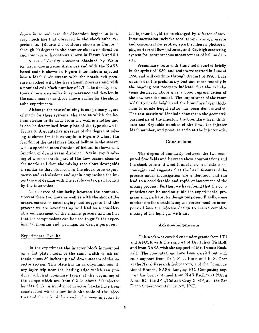shown in 7c and here the distortion begins to look very much like that observed in the shock tube experiments. (Rotate the contours shown in Figure 7 through 90 degrees in the counter clockwise direction and compare with contours shown in Figure 3 and 5.)

A set of density contours obtained by Waitz for larger downstream distances and with the NASA based code is shown in Figure 8 for helium injected irito a Mach 6 air stream with the nozzle exit pressure matched with the free stream pressure and with a nominal exit Mach number of 1.7. The density contours shown are similar in appearance and develop in the same manner as those shown earlier for the shock tube experiments.

Although the rate of mixing is our primary figure of merit for these systems, the rate at which the helium stream drifts away from the wall is another and it can be determined from plots of the type shown in Figure 8. A qualitative measure of the degree of mixing is shown for this example in Figure 9 where the fraction of the total mass flux of helium in the stream with a specified mass fraction of helium is shown as a function of downstream distance. Again, rapid mixing of a considerable part of the flow occurs close to the nozzle and then the mixing rate slows down; this is similar to that observed in the shock tube experiments and calculations and again emphasizes the importance of dealing with the stable vortex pair formed by the interaction.

The degree of similarity between the computations of these two flows as well as with the shock tube measurements is encouraging and suggests that the process we are investigating will lead to a considerable enhancement of the mixing process and further that the computations can be used to guide the experimental program and, perhaps, for design purposes.

#### Experimental Results

In the experiment the injector block is mounted on a flat plate model of the same width which extends about 30 inches up and down stream of the injector section. This plate has an aerodynamic boundary layer trip near the leading edge which can produce turbulent boundary layers at the beginning of the ramps which are from 0.2 to about 2.0 injector heights thick. A number of injector blocks have been constructed which allow both the scale of the injectors and the ratio of the spacing between injectors to

the injector height to be changed by a factor of two. Instrumentation includes total temperature, pressure and concentration probes, spark schlieren photography, surface oil flow patterns, and Rayleigh scattering system for instantaneous measurement of helium density.

Preliminary tests with this model started briefly in the spring of 1989, and tests were started in June of 1990 and will continue through August of 1990. Data obtained in the preliminary test and more recently in the ongoing test program indicate that the calculations described above give a good representation of the flow over the model. The importance of the ramp width to nozzle height and the boundary layer thickness to nozzle height ratios has been demonstrated. The test matrix will include changes in the geometric parameters of the injector, the boundary layer thickness and Reynolds number of the flow, the injector Mach number, and pressure ratio at the injector exit.

#### Conclusions

The degree of similarity between the two computed flow fields and between these computations and the shock tube and wind tunnel measurements is encouraging and suggests that the basic features of the process under investigation are understood and can lead to a considerable and rapid enhancement of the mixing process. Further, we have found that the computations can be used to guide the experimental program and, perhaps, for design purposes. Finally, some mechanism for destabilizing the vortex must be incorporated into the injector design to ensure complete mixing of the light gas with air.

#### Acknow ledgements

This work was carried out under grants from URI and AFOSR with the support of Dr. Julian Tishkoff, and from NASA with the support of Mr. Dennis Bushnell. The computations have been carried out with code support from Dr.'s P. J. Boris and E. S. Oran at the Naval Research Laboratory, and the Computational Branch, NASA Langley RC. Computing support has been obtained from NAS Facility at NASA Ames RC, the JPL/Caltech Cray X-MP, and the San Diego Supercomputer Center, NSF.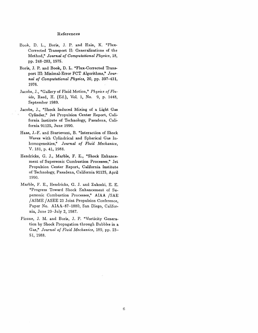#### References

- Book, D. L., Boris, J. P. and Hain, K. "Flux-Corrected Transport II: Generalizations of the Method," *Journal of Computational Physics,* 18, pp. 248-283, 1975.
- Boris, J. P. and Book, D. L. "Flux-Corrected Transport III: Minimal-Error FCT Algorithms," *Journal of Computational Physics,* 20, pp. 397-431, 1976.
- Jacobs, J., "Gallery of Fluid Motion," *Physics of Fluids,* Reed, H. (Ed.), Vol. **1,** No.9, p. 1448, September 1989.
- Jacobs, J., "Shock Induced Mixing of a Light Gas Cylinder," Jet Propulsion Center Report, California Institute of Technology, Pasadena, California 91125, June 1990.
- Haas, J.-F. and Sturtevant, B. "Interaction of Shock Waves with Cylindrical and Spherical Gas Inhomogeneities," *Journal of Fluid Mechanics,*  V. 181, p. 41, 1988.
- Hendricks, G. J., Marble, F. E., "Shock Enhancement of Supersonic Combustion Processes," Jet Propulsion Center Report, California Institute of Technology, Pasadena, California 91125, April 1990.
- Marble, F. E., Hendricks, G. J. and Zukoski, E. E. "Progress Toward Shock Enhancement of Supersonic Combustion Processes," AIAA /SAE / ASME / ASEE 23 Joint Propulsion Conference, Paper No. AIAA-87-1880, San Diego, California, June 29-July 2, 1987.
- Picone, J. M. and Boris, J. P. "Vorticity Generation by Shock Propagation through Bubbles in a Gas," *Journal of Fluid Mechanics*, 189, pp. 23-51, 1988.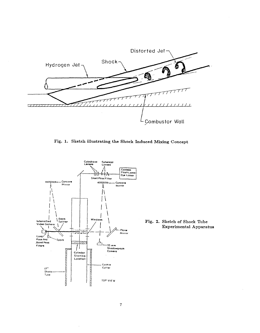

Fig. 1. Sketch illustrating the Shock Induced Mixing Concept



Fig. 2. Sketch of Shock Tube **Experimental Apparatus**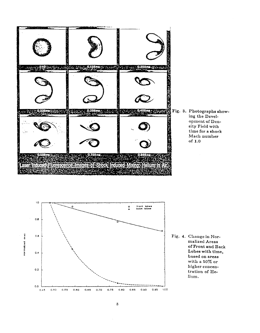

Fig. 3. Photographs showing the Development of Density Field with time for a shock Mach number of  $1.0$ 



Fig. 4. Change in Normalized Areas of Front and Back Lobes with time, based on areas with a 50% or higher concentration of Helium.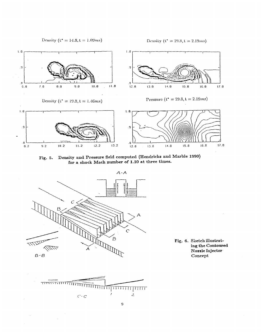Density ( $t^* = 14.8, t = 1.09ms$ )

Density ( $t^* = 29.8, t = 2.19ms$ )



**Fig. 5. Density and Pressure field computed (Hendricks and Marble 1990) for a shock Mach number of 1.10 at three times.** 



**Fig. 6. Sketch illustrating the Contoured Nozzle Injector Concept** 

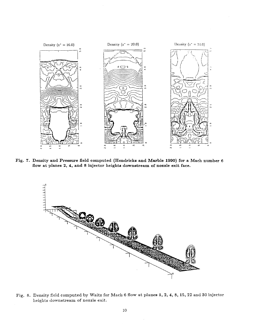

Fig. 7. Density and Pressure field computed (Hendricks and Marble 1990) for a Mach number 6 fiow at planes 2, 4, and 8 injector heights downstream of nozzle exit face.



Fig. 8. Density field computed by Waitz for Mach 6 flow at planes 1, 2, 4, 8, 15, 22 and 30 injector heights downstream of nozzle exit.